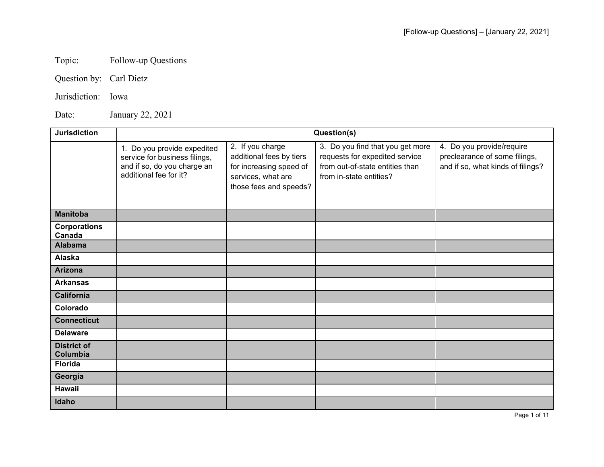## Topic: Follow-up Questions

Question by: Carl Dietz

Jurisdiction: Iowa

Date: January 22, 2021

| <b>Jurisdiction</b>            | Question(s)                                                                                                           |                                                                                                                         |                                                                                                                                  |                                                                                                 |  |
|--------------------------------|-----------------------------------------------------------------------------------------------------------------------|-------------------------------------------------------------------------------------------------------------------------|----------------------------------------------------------------------------------------------------------------------------------|-------------------------------------------------------------------------------------------------|--|
|                                | 1. Do you provide expedited<br>service for business filings,<br>and if so, do you charge an<br>additional fee for it? | 2. If you charge<br>additional fees by tiers<br>for increasing speed of<br>services, what are<br>those fees and speeds? | 3. Do you find that you get more<br>requests for expedited service<br>from out-of-state entities than<br>from in-state entities? | 4. Do you provide/require<br>preclearance of some filings,<br>and if so, what kinds of filings? |  |
| <b>Manitoba</b>                |                                                                                                                       |                                                                                                                         |                                                                                                                                  |                                                                                                 |  |
| <b>Corporations</b><br>Canada  |                                                                                                                       |                                                                                                                         |                                                                                                                                  |                                                                                                 |  |
| <b>Alabama</b>                 |                                                                                                                       |                                                                                                                         |                                                                                                                                  |                                                                                                 |  |
| Alaska                         |                                                                                                                       |                                                                                                                         |                                                                                                                                  |                                                                                                 |  |
| <b>Arizona</b>                 |                                                                                                                       |                                                                                                                         |                                                                                                                                  |                                                                                                 |  |
| <b>Arkansas</b>                |                                                                                                                       |                                                                                                                         |                                                                                                                                  |                                                                                                 |  |
| <b>California</b>              |                                                                                                                       |                                                                                                                         |                                                                                                                                  |                                                                                                 |  |
| Colorado                       |                                                                                                                       |                                                                                                                         |                                                                                                                                  |                                                                                                 |  |
| <b>Connecticut</b>             |                                                                                                                       |                                                                                                                         |                                                                                                                                  |                                                                                                 |  |
| <b>Delaware</b>                |                                                                                                                       |                                                                                                                         |                                                                                                                                  |                                                                                                 |  |
| <b>District of</b><br>Columbia |                                                                                                                       |                                                                                                                         |                                                                                                                                  |                                                                                                 |  |
| <b>Florida</b>                 |                                                                                                                       |                                                                                                                         |                                                                                                                                  |                                                                                                 |  |
| Georgia                        |                                                                                                                       |                                                                                                                         |                                                                                                                                  |                                                                                                 |  |
| Hawaii                         |                                                                                                                       |                                                                                                                         |                                                                                                                                  |                                                                                                 |  |
| Idaho                          |                                                                                                                       |                                                                                                                         |                                                                                                                                  |                                                                                                 |  |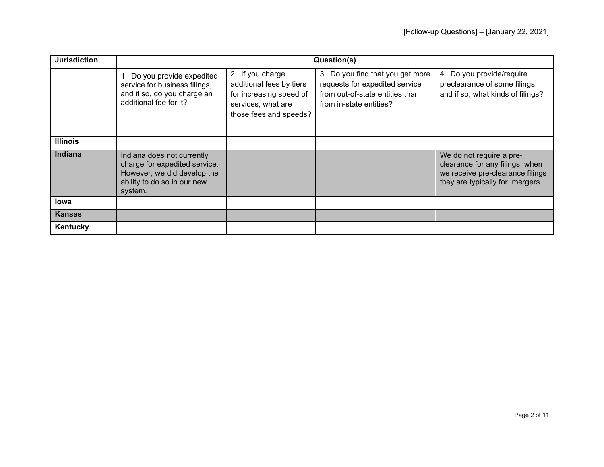| <b>Jurisdiction</b> | Question(s)                                                                                                                          |                                                                                                                         |                                                                                                                                  |                                                                                                                                    |  |
|---------------------|--------------------------------------------------------------------------------------------------------------------------------------|-------------------------------------------------------------------------------------------------------------------------|----------------------------------------------------------------------------------------------------------------------------------|------------------------------------------------------------------------------------------------------------------------------------|--|
|                     | 1. Do you provide expedited<br>service for business filings,<br>and if so, do you charge an<br>additional fee for it?                | 2. If you charge<br>additional fees by tiers<br>for increasing speed of<br>services, what are<br>those fees and speeds? | 3. Do you find that you get more<br>requests for expedited service<br>from out-of-state entities than<br>from in-state entities? | 4. Do you provide/require<br>preclearance of some filings,<br>and if so, what kinds of filings?                                    |  |
| <b>Illinois</b>     |                                                                                                                                      |                                                                                                                         |                                                                                                                                  |                                                                                                                                    |  |
| Indiana             | Indiana does not currently<br>charge for expedited service.<br>However, we did develop the<br>ability to do so in our new<br>system. |                                                                                                                         |                                                                                                                                  | We do not require a pre-<br>clearance for any filings, when<br>we receive pre-clearance filings<br>they are typically for mergers. |  |
| <b>lowa</b>         |                                                                                                                                      |                                                                                                                         |                                                                                                                                  |                                                                                                                                    |  |
| <b>Kansas</b>       |                                                                                                                                      |                                                                                                                         |                                                                                                                                  |                                                                                                                                    |  |
| Kentucky            |                                                                                                                                      |                                                                                                                         |                                                                                                                                  |                                                                                                                                    |  |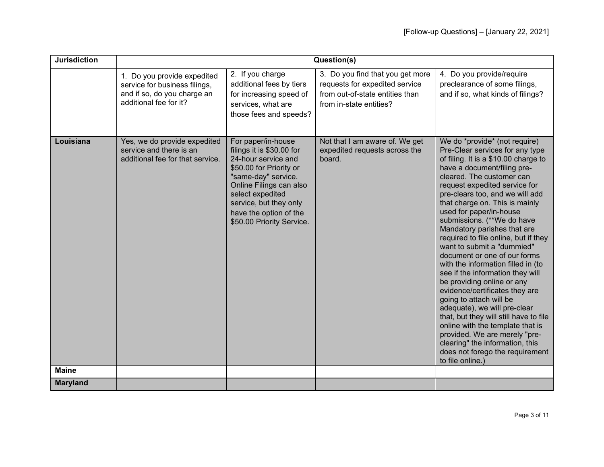| <b>Jurisdiction</b> | Question(s)                                                                                                           |                                                                                                                                                                                                                                                          |                                                                                                                                  |                                                                                                                                                                                                                                                                                                                                                                                                                                                                                                                                                                                                                                                                                                                                                                                                                                                                                       |  |
|---------------------|-----------------------------------------------------------------------------------------------------------------------|----------------------------------------------------------------------------------------------------------------------------------------------------------------------------------------------------------------------------------------------------------|----------------------------------------------------------------------------------------------------------------------------------|---------------------------------------------------------------------------------------------------------------------------------------------------------------------------------------------------------------------------------------------------------------------------------------------------------------------------------------------------------------------------------------------------------------------------------------------------------------------------------------------------------------------------------------------------------------------------------------------------------------------------------------------------------------------------------------------------------------------------------------------------------------------------------------------------------------------------------------------------------------------------------------|--|
|                     | 1. Do you provide expedited<br>service for business filings,<br>and if so, do you charge an<br>additional fee for it? | 2. If you charge<br>additional fees by tiers<br>for increasing speed of<br>services, what are<br>those fees and speeds?                                                                                                                                  | 3. Do you find that you get more<br>requests for expedited service<br>from out-of-state entities than<br>from in-state entities? | 4. Do you provide/require<br>preclearance of some filings,<br>and if so, what kinds of filings?                                                                                                                                                                                                                                                                                                                                                                                                                                                                                                                                                                                                                                                                                                                                                                                       |  |
| Louisiana           | Yes, we do provide expedited<br>service and there is an<br>additional fee for that service.                           | For paper/in-house<br>filings it is \$30.00 for<br>24-hour service and<br>\$50.00 for Priority or<br>"same-day" service.<br>Online Filings can also<br>select expedited<br>service, but they only<br>have the option of the<br>\$50.00 Priority Service. | Not that I am aware of. We get<br>expedited requests across the<br>board.                                                        | We do *provide* (not require)<br>Pre-Clear services for any type<br>of filing. It is a \$10.00 charge to<br>have a document/filing pre-<br>cleared. The customer can<br>request expedited service for<br>pre-clears too, and we will add<br>that charge on. This is mainly<br>used for paper/in-house<br>submissions. (**We do have<br>Mandatory parishes that are<br>required to file online, but if they<br>want to submit a "dummied"<br>document or one of our forms<br>with the information filled in (to<br>see if the information they will<br>be providing online or any<br>evidence/certificates they are<br>going to attach will be<br>adequate), we will pre-clear<br>that, but they will still have to file<br>online with the template that is<br>provided. We are merely "pre-<br>clearing" the information, this<br>does not forego the requirement<br>to file online. |  |
| <b>Maine</b>        |                                                                                                                       |                                                                                                                                                                                                                                                          |                                                                                                                                  |                                                                                                                                                                                                                                                                                                                                                                                                                                                                                                                                                                                                                                                                                                                                                                                                                                                                                       |  |
| <b>Maryland</b>     |                                                                                                                       |                                                                                                                                                                                                                                                          |                                                                                                                                  |                                                                                                                                                                                                                                                                                                                                                                                                                                                                                                                                                                                                                                                                                                                                                                                                                                                                                       |  |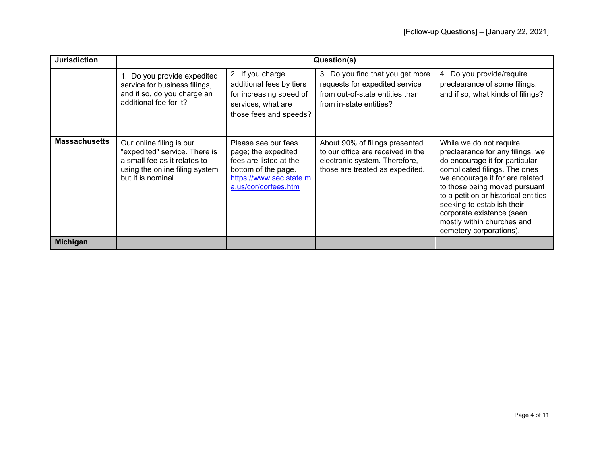| <b>Jurisdiction</b>  | Question(s)                                                                                                                                       |                                                                                                                                                |                                                                                                                                         |                                                                                                                                                                                                                                                                                                                                                                |
|----------------------|---------------------------------------------------------------------------------------------------------------------------------------------------|------------------------------------------------------------------------------------------------------------------------------------------------|-----------------------------------------------------------------------------------------------------------------------------------------|----------------------------------------------------------------------------------------------------------------------------------------------------------------------------------------------------------------------------------------------------------------------------------------------------------------------------------------------------------------|
|                      | 1. Do you provide expedited<br>service for business filings,<br>and if so, do you charge an<br>additional fee for it?                             | 2. If you charge<br>additional fees by tiers<br>for increasing speed of<br>services, what are<br>those fees and speeds?                        | 3. Do you find that you get more<br>requests for expedited service<br>from out-of-state entities than<br>from in-state entities?        | 4. Do you provide/require<br>preclearance of some filings,<br>and if so, what kinds of filings?                                                                                                                                                                                                                                                                |
| <b>Massachusetts</b> | Our online filing is our<br>"expedited" service. There is<br>a small fee as it relates to<br>using the online filing system<br>but it is nominal. | Please see our fees<br>page; the expedited<br>fees are listed at the<br>bottom of the page.<br>https://www.sec.state.m<br>a.us/cor/corfees.htm | About 90% of filings presented<br>to our office are received in the<br>electronic system. Therefore,<br>those are treated as expedited. | While we do not require<br>preclearance for any filings, we<br>do encourage it for particular<br>complicated filings. The ones<br>we encourage it for are related<br>to those being moved pursuant<br>to a petition or historical entities<br>seeking to establish their<br>corporate existence (seen<br>mostly within churches and<br>cemetery corporations). |
| <b>Michigan</b>      |                                                                                                                                                   |                                                                                                                                                |                                                                                                                                         |                                                                                                                                                                                                                                                                                                                                                                |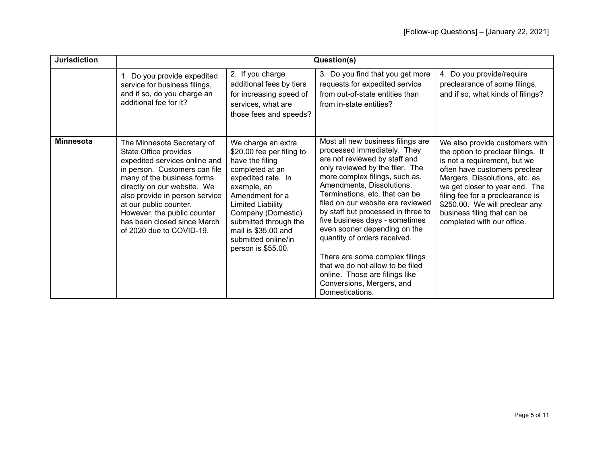| <b>Jurisdiction</b> | Question(s)                                                                                                                                                                                                                                                                                                                              |                                                                                                                                                                                                                                                                                       |                                                                                                                                                                                                                                                                                                                                                                                                                                                                                                                                                                            |                                                                                                                                                                                                                                                                                                                                              |  |
|---------------------|------------------------------------------------------------------------------------------------------------------------------------------------------------------------------------------------------------------------------------------------------------------------------------------------------------------------------------------|---------------------------------------------------------------------------------------------------------------------------------------------------------------------------------------------------------------------------------------------------------------------------------------|----------------------------------------------------------------------------------------------------------------------------------------------------------------------------------------------------------------------------------------------------------------------------------------------------------------------------------------------------------------------------------------------------------------------------------------------------------------------------------------------------------------------------------------------------------------------------|----------------------------------------------------------------------------------------------------------------------------------------------------------------------------------------------------------------------------------------------------------------------------------------------------------------------------------------------|--|
|                     | 1. Do you provide expedited<br>service for business filings,<br>and if so, do you charge an<br>additional fee for it?                                                                                                                                                                                                                    | 2. If you charge<br>additional fees by tiers<br>for increasing speed of<br>services, what are<br>those fees and speeds?                                                                                                                                                               | 3. Do you find that you get more<br>requests for expedited service<br>from out-of-state entities than<br>from in-state entities?                                                                                                                                                                                                                                                                                                                                                                                                                                           | 4. Do you provide/require<br>preclearance of some filings,<br>and if so, what kinds of filings?                                                                                                                                                                                                                                              |  |
| <b>Minnesota</b>    | The Minnesota Secretary of<br>State Office provides<br>expedited services online and<br>in person. Customers can file<br>many of the business forms<br>directly on our website. We<br>also provide in person service<br>at our public counter.<br>However, the public counter<br>has been closed since March<br>of 2020 due to COVID-19. | We charge an extra<br>\$20.00 fee per filing to<br>have the filing<br>completed at an<br>expedited rate. In<br>example, an<br>Amendment for a<br>Limited Liability<br>Company (Domestic)<br>submitted through the<br>mail is \$35.00 and<br>submitted online/in<br>person is \$55.00. | Most all new business filings are<br>processed immediately. They<br>are not reviewed by staff and<br>only reviewed by the filer. The<br>more complex filings, such as,<br>Amendments, Dissolutions,<br>Terminations, etc. that can be<br>filed on our website are reviewed<br>by staff but processed in three to<br>five business days - sometimes<br>even sooner depending on the<br>quantity of orders received.<br>There are some complex filings<br>that we do not allow to be filed<br>online. Those are filings like<br>Conversions, Mergers, and<br>Domestications. | We also provide customers with<br>the option to preclear filings. It<br>is not a requirement, but we<br>often have customers preclear<br>Mergers, Dissolutions, etc. as<br>we get closer to year end. The<br>filing fee for a preclearance is<br>\$250.00. We will preclear any<br>business filing that can be<br>completed with our office. |  |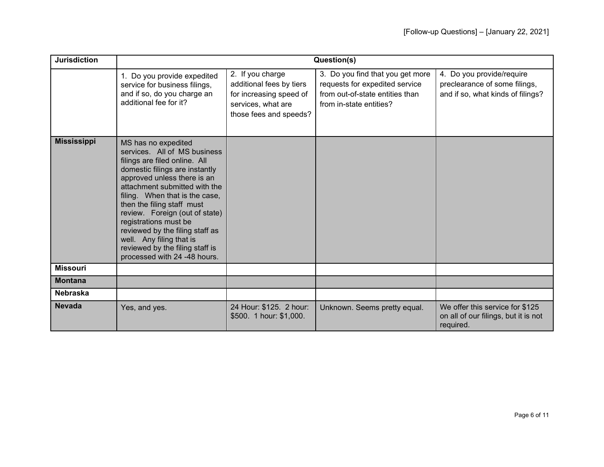| <b>Jurisdiction</b> |                                                                                                                                                                                                                                                                                                                                                                                                                                                     |                                                                                                                         | Question(s)                                                                                                                      |                                                                                                 |
|---------------------|-----------------------------------------------------------------------------------------------------------------------------------------------------------------------------------------------------------------------------------------------------------------------------------------------------------------------------------------------------------------------------------------------------------------------------------------------------|-------------------------------------------------------------------------------------------------------------------------|----------------------------------------------------------------------------------------------------------------------------------|-------------------------------------------------------------------------------------------------|
|                     | 1. Do you provide expedited<br>service for business filings,<br>and if so, do you charge an<br>additional fee for it?                                                                                                                                                                                                                                                                                                                               | 2. If you charge<br>additional fees by tiers<br>for increasing speed of<br>services, what are<br>those fees and speeds? | 3. Do you find that you get more<br>requests for expedited service<br>from out-of-state entities than<br>from in-state entities? | 4. Do you provide/require<br>preclearance of some filings,<br>and if so, what kinds of filings? |
| <b>Mississippi</b>  | MS has no expedited<br>services. All of MS business<br>filings are filed online. All<br>domestic filings are instantly<br>approved unless there is an<br>attachment submitted with the<br>filing. When that is the case,<br>then the filing staff must<br>review. Foreign (out of state)<br>registrations must be<br>reviewed by the filing staff as<br>well. Any filing that is<br>reviewed by the filing staff is<br>processed with 24 -48 hours. |                                                                                                                         |                                                                                                                                  |                                                                                                 |
| <b>Missouri</b>     |                                                                                                                                                                                                                                                                                                                                                                                                                                                     |                                                                                                                         |                                                                                                                                  |                                                                                                 |
| <b>Montana</b>      |                                                                                                                                                                                                                                                                                                                                                                                                                                                     |                                                                                                                         |                                                                                                                                  |                                                                                                 |
| <b>Nebraska</b>     |                                                                                                                                                                                                                                                                                                                                                                                                                                                     |                                                                                                                         |                                                                                                                                  |                                                                                                 |
| <b>Nevada</b>       | Yes, and yes.                                                                                                                                                                                                                                                                                                                                                                                                                                       | 24 Hour: \$125. 2 hour:<br>\$500. 1 hour: \$1,000.                                                                      | Unknown. Seems pretty equal.                                                                                                     | We offer this service for \$125<br>on all of our filings, but it is not<br>required.            |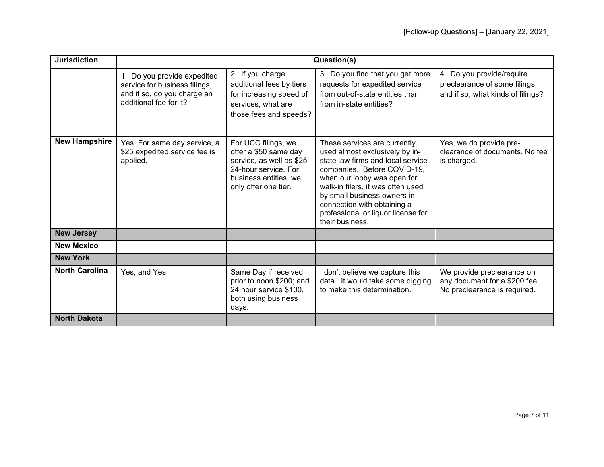| <b>Jurisdiction</b>   |                                                                                                                       |                                                                                                                                                   | Question(s)                                                                                                                                                                                                                                                                                                                   |                                                                                                 |
|-----------------------|-----------------------------------------------------------------------------------------------------------------------|---------------------------------------------------------------------------------------------------------------------------------------------------|-------------------------------------------------------------------------------------------------------------------------------------------------------------------------------------------------------------------------------------------------------------------------------------------------------------------------------|-------------------------------------------------------------------------------------------------|
|                       | 1. Do you provide expedited<br>service for business filings,<br>and if so, do you charge an<br>additional fee for it? | 2. If you charge<br>additional fees by tiers<br>for increasing speed of<br>services, what are<br>those fees and speeds?                           | 3. Do you find that you get more<br>requests for expedited service<br>from out-of-state entities than<br>from in-state entities?                                                                                                                                                                                              | 4. Do you provide/require<br>preclearance of some filings,<br>and if so, what kinds of filings? |
| <b>New Hampshire</b>  | Yes. For same day service, a<br>\$25 expedited service fee is<br>applied.                                             | For UCC filings, we<br>offer a \$50 same day<br>service, as well as \$25<br>24-hour service. For<br>business entities, we<br>only offer one tier. | These services are currently<br>used almost exclusively by in-<br>state law firms and local service<br>companies. Before COVID-19,<br>when our lobby was open for<br>walk-in filers, it was often used<br>by small business owners in<br>connection with obtaining a<br>professional or liquor license for<br>their business. | Yes, we do provide pre-<br>clearance of documents. No fee<br>is charged.                        |
| <b>New Jersey</b>     |                                                                                                                       |                                                                                                                                                   |                                                                                                                                                                                                                                                                                                                               |                                                                                                 |
| <b>New Mexico</b>     |                                                                                                                       |                                                                                                                                                   |                                                                                                                                                                                                                                                                                                                               |                                                                                                 |
| <b>New York</b>       |                                                                                                                       |                                                                                                                                                   |                                                                                                                                                                                                                                                                                                                               |                                                                                                 |
| <b>North Carolina</b> | Yes, and Yes                                                                                                          | Same Day if received<br>prior to noon \$200; and<br>24 hour service \$100,<br>both using business<br>days.                                        | don't believe we capture this<br>data. It would take some digging<br>to make this determination.                                                                                                                                                                                                                              | We provide preclearance on<br>any document for a \$200 fee.<br>No preclearance is required.     |
| <b>North Dakota</b>   |                                                                                                                       |                                                                                                                                                   |                                                                                                                                                                                                                                                                                                                               |                                                                                                 |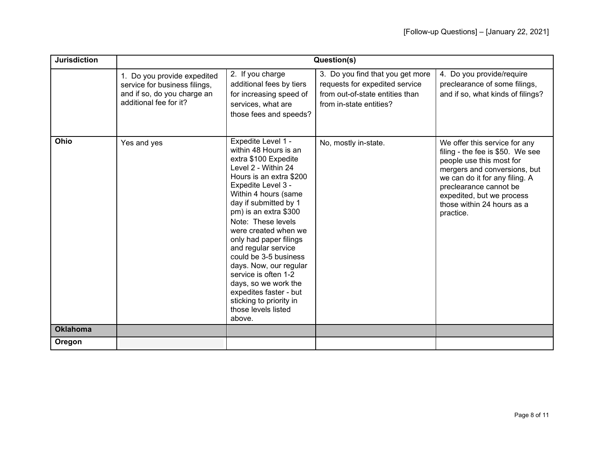| <b>Jurisdiction</b> |                                                                                                                       |                                                                                                                                                                                                                                                                                                                                                                                                                                                                                                               | Question(s)                                                                                                                      |                                                                                                                                                                                                                                                                   |
|---------------------|-----------------------------------------------------------------------------------------------------------------------|---------------------------------------------------------------------------------------------------------------------------------------------------------------------------------------------------------------------------------------------------------------------------------------------------------------------------------------------------------------------------------------------------------------------------------------------------------------------------------------------------------------|----------------------------------------------------------------------------------------------------------------------------------|-------------------------------------------------------------------------------------------------------------------------------------------------------------------------------------------------------------------------------------------------------------------|
|                     | 1. Do you provide expedited<br>service for business filings,<br>and if so, do you charge an<br>additional fee for it? | 2. If you charge<br>additional fees by tiers<br>for increasing speed of<br>services, what are<br>those fees and speeds?                                                                                                                                                                                                                                                                                                                                                                                       | 3. Do you find that you get more<br>requests for expedited service<br>from out-of-state entities than<br>from in-state entities? | 4. Do you provide/require<br>preclearance of some filings,<br>and if so, what kinds of filings?                                                                                                                                                                   |
| Ohio                | Yes and yes                                                                                                           | Expedite Level 1 -<br>within 48 Hours is an<br>extra \$100 Expedite<br>Level 2 - Within 24<br>Hours is an extra \$200<br>Expedite Level 3 -<br>Within 4 hours (same<br>day if submitted by 1<br>pm) is an extra \$300<br>Note: These levels<br>were created when we<br>only had paper filings<br>and regular service<br>could be 3-5 business<br>days. Now, our regular<br>service is often 1-2<br>days, so we work the<br>expedites faster - but<br>sticking to priority in<br>those levels listed<br>above. | No, mostly in-state.                                                                                                             | We offer this service for any<br>filing - the fee is \$50. We see<br>people use this most for<br>mergers and conversions, but<br>we can do it for any filing. A<br>preclearance cannot be<br>expedited, but we process<br>those within 24 hours as a<br>practice. |
| <b>Oklahoma</b>     |                                                                                                                       |                                                                                                                                                                                                                                                                                                                                                                                                                                                                                                               |                                                                                                                                  |                                                                                                                                                                                                                                                                   |
| Oregon              |                                                                                                                       |                                                                                                                                                                                                                                                                                                                                                                                                                                                                                                               |                                                                                                                                  |                                                                                                                                                                                                                                                                   |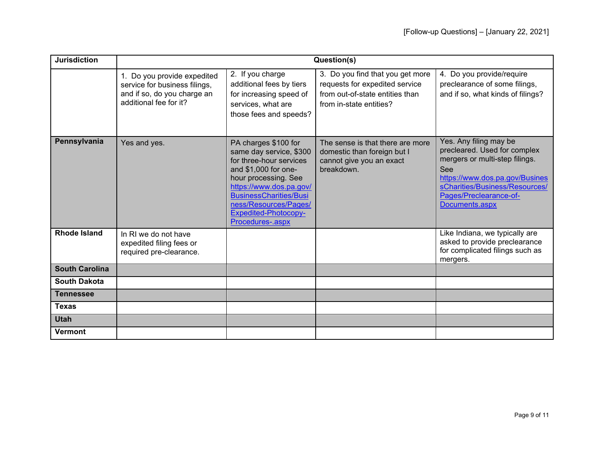| <b>Jurisdiction</b>   |                                                                                                                       |                                                                                                                                                                                                                                                                    | Question(s)                                                                                                                      |                                                                                                                                                                                                                 |
|-----------------------|-----------------------------------------------------------------------------------------------------------------------|--------------------------------------------------------------------------------------------------------------------------------------------------------------------------------------------------------------------------------------------------------------------|----------------------------------------------------------------------------------------------------------------------------------|-----------------------------------------------------------------------------------------------------------------------------------------------------------------------------------------------------------------|
|                       | 1. Do you provide expedited<br>service for business filings,<br>and if so, do you charge an<br>additional fee for it? | 2. If you charge<br>additional fees by tiers<br>for increasing speed of<br>services, what are<br>those fees and speeds?                                                                                                                                            | 3. Do you find that you get more<br>requests for expedited service<br>from out-of-state entities than<br>from in-state entities? | 4. Do you provide/require<br>preclearance of some filings,<br>and if so, what kinds of filings?                                                                                                                 |
| Pennsylvania          | Yes and yes.                                                                                                          | PA charges \$100 for<br>same day service, \$300<br>for three-hour services<br>and \$1,000 for one-<br>hour processing. See<br>https://www.dos.pa.gov/<br><b>BusinessCharities/Busi</b><br>ness/Resources/Pages/<br><b>Expedited-Photocopy-</b><br>Procedures-.aspx | The sense is that there are more<br>domestic than foreign but I<br>cannot give you an exact<br>breakdown.                        | Yes. Any filing may be<br>precleared. Used for complex<br>mergers or multi-step filings.<br>See<br>https://www.dos.pa.gov/Busines<br>sCharities/Business/Resources/<br>Pages/Preclearance-of-<br>Documents.aspx |
| <b>Rhode Island</b>   | In RI we do not have<br>expedited filing fees or<br>required pre-clearance.                                           |                                                                                                                                                                                                                                                                    |                                                                                                                                  | Like Indiana, we typically are<br>asked to provide preclearance<br>for complicated filings such as<br>mergers.                                                                                                  |
| <b>South Carolina</b> |                                                                                                                       |                                                                                                                                                                                                                                                                    |                                                                                                                                  |                                                                                                                                                                                                                 |
| <b>South Dakota</b>   |                                                                                                                       |                                                                                                                                                                                                                                                                    |                                                                                                                                  |                                                                                                                                                                                                                 |
| <b>Tennessee</b>      |                                                                                                                       |                                                                                                                                                                                                                                                                    |                                                                                                                                  |                                                                                                                                                                                                                 |
| <b>Texas</b>          |                                                                                                                       |                                                                                                                                                                                                                                                                    |                                                                                                                                  |                                                                                                                                                                                                                 |
| <b>Utah</b>           |                                                                                                                       |                                                                                                                                                                                                                                                                    |                                                                                                                                  |                                                                                                                                                                                                                 |
| <b>Vermont</b>        |                                                                                                                       |                                                                                                                                                                                                                                                                    |                                                                                                                                  |                                                                                                                                                                                                                 |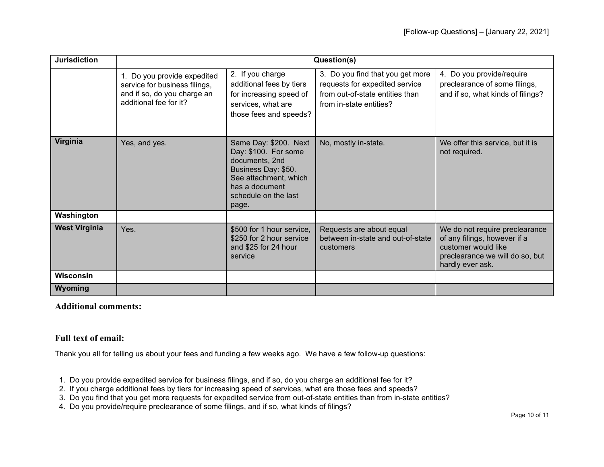| <b>Jurisdiction</b>  |                                                                                                                       |                                                                                                                                                                    | Question(s)                                                                                                                      |                                                                                                                                              |
|----------------------|-----------------------------------------------------------------------------------------------------------------------|--------------------------------------------------------------------------------------------------------------------------------------------------------------------|----------------------------------------------------------------------------------------------------------------------------------|----------------------------------------------------------------------------------------------------------------------------------------------|
|                      | 1. Do you provide expedited<br>service for business filings,<br>and if so, do you charge an<br>additional fee for it? | 2. If you charge<br>additional fees by tiers<br>for increasing speed of<br>services, what are<br>those fees and speeds?                                            | 3. Do you find that you get more<br>requests for expedited service<br>from out-of-state entities than<br>from in-state entities? | 4. Do you provide/require<br>preclearance of some filings,<br>and if so, what kinds of filings?                                              |
| Virginia             | Yes, and yes.                                                                                                         | Same Day: \$200. Next<br>Day: \$100. For some<br>documents, 2nd<br>Business Day: \$50.<br>See attachment, which<br>has a document<br>schedule on the last<br>page. | No, mostly in-state.                                                                                                             | We offer this service, but it is<br>not required.                                                                                            |
| Washington           |                                                                                                                       |                                                                                                                                                                    |                                                                                                                                  |                                                                                                                                              |
| <b>West Virginia</b> | Yes.                                                                                                                  | \$500 for 1 hour service,<br>\$250 for 2 hour service<br>and \$25 for 24 hour<br>service                                                                           | Requests are about equal<br>between in-state and out-of-state<br>customers                                                       | We do not require preclearance<br>of any filings, however if a<br>customer would like<br>preclearance we will do so, but<br>hardly ever ask. |
| <b>Wisconsin</b>     |                                                                                                                       |                                                                                                                                                                    |                                                                                                                                  |                                                                                                                                              |
| Wyoming              |                                                                                                                       |                                                                                                                                                                    |                                                                                                                                  |                                                                                                                                              |

## **Additional comments:**

## **Full text of email:**

Thank you all for telling us about your fees and funding a few weeks ago. We have a few follow-up questions:

- 1. Do you provide expedited service for business filings, and if so, do you charge an additional fee for it?
- 2. If you charge additional fees by tiers for increasing speed of services, what are those fees and speeds?
- 3. Do you find that you get more requests for expedited service from out-of-state entities than from in-state entities?
- 4. Do you provide/require preclearance of some filings, and if so, what kinds of filings?